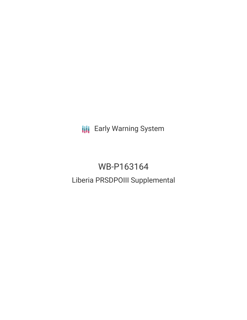**III** Early Warning System

# WB-P163164 Liberia PRSDPOIII Supplemental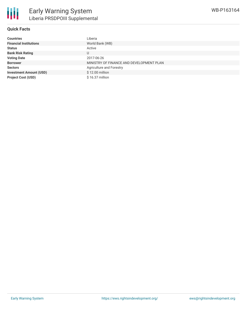

## **Quick Facts**

| <b>Countries</b>               | Liberia                                  |
|--------------------------------|------------------------------------------|
| <b>Financial Institutions</b>  | World Bank (WB)                          |
| <b>Status</b>                  | Active                                   |
| <b>Bank Risk Rating</b>        | U                                        |
| <b>Voting Date</b>             | 2017-06-26                               |
| <b>Borrower</b>                | MINISTRY OF FINANCE AND DEVELOPMENT PLAN |
| <b>Sectors</b>                 | Agriculture and Forestry                 |
| <b>Investment Amount (USD)</b> | \$12.00 million                          |
| <b>Project Cost (USD)</b>      | $$16.37$ million                         |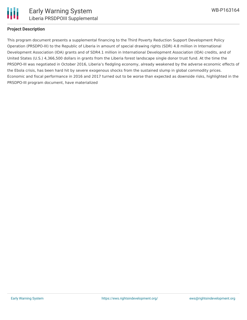

#### **Project Description**

This program document presents a supplemental financing to the Third Poverty Reduction Support Development Policy Operation (PRSDPO-III) to the Republic of Liberia in amount of special drawing rights (SDR) 4.8 million in International Development Association (IDA) grants and of SDR4.1 million in International Development Association (IDA) credits, and of United States (U.S.) 4,366,500 dollars in grants from the Liberia forest landscape single donor trust fund. At the time the PRSDPO-III was negotiated in October 2016, Liberia's fledgling economy, already weakened by the adverse economic effects of the Ebola crisis, has been hard hit by severe exogenous shocks from the sustained slump in global commodity prices. Economic and fiscal performance in 2016 and 2017 turned out to be worse than expected as downside risks, highlighted in the PRSDPO-III program document, have materialized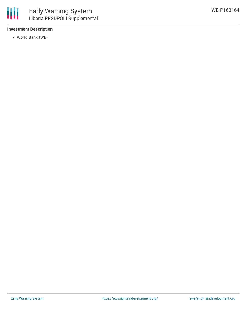### **Investment Description**

World Bank (WB)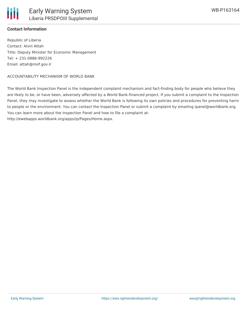

### **Contact Information**

Republic of Liberia Contact: Alvin Attah Title: Deputy Minister for Economic Management Tel: + 231-0886-992226 Email: attah@mof.gov.lr

#### ACCOUNTABILITY MECHANISM OF WORLD BANK

The World Bank Inspection Panel is the independent complaint mechanism and fact-finding body for people who believe they are likely to be, or have been, adversely affected by a World Bank-financed project. If you submit a complaint to the Inspection Panel, they may investigate to assess whether the World Bank is following its own policies and procedures for preventing harm to people or the environment. You can contact the Inspection Panel or submit a complaint by emailing ipanel@worldbank.org. You can learn more about the Inspection Panel and how to file a complaint at: http://ewebapps.worldbank.org/apps/ip/Pages/Home.aspx.